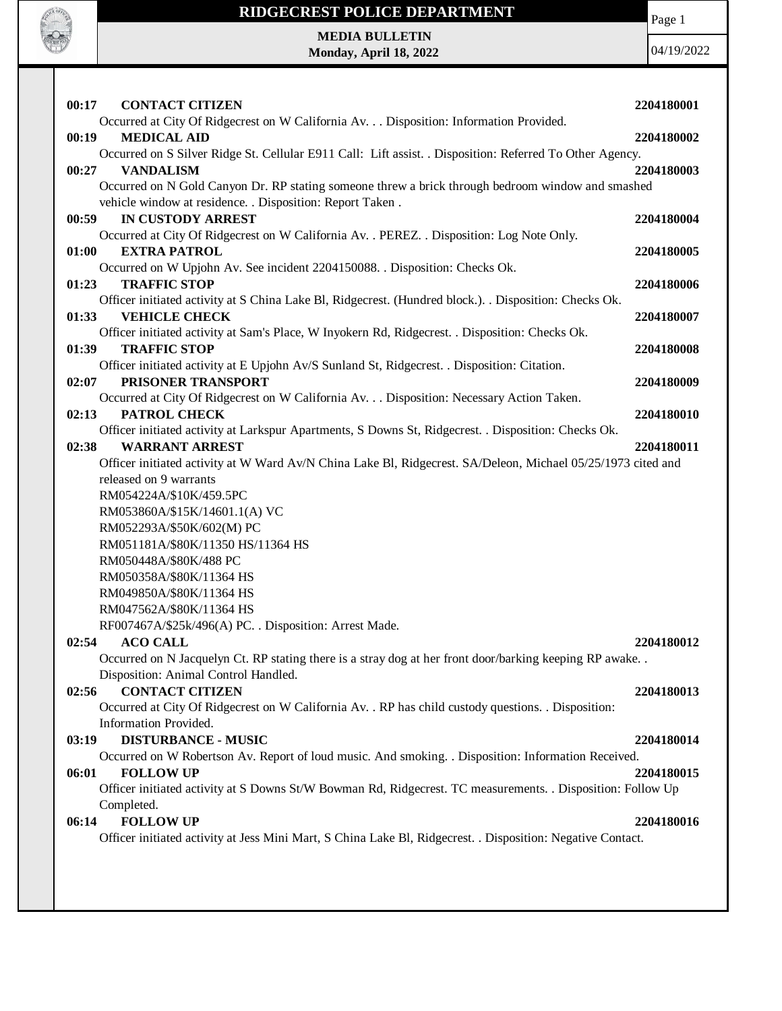

**MEDIA BULLETIN Monday, April 18, 2022** Page 1

| 00:17<br><b>CONTACT CITIZEN</b>                                                                              | 2204180001 |
|--------------------------------------------------------------------------------------------------------------|------------|
| Occurred at City Of Ridgecrest on W California Av. Disposition: Information Provided.                        |            |
| <b>MEDICAL AID</b><br>00:19                                                                                  | 2204180002 |
| Occurred on S Silver Ridge St. Cellular E911 Call: Lift assist. . Disposition: Referred To Other Agency.     |            |
| <b>VANDALISM</b><br>00:27                                                                                    | 2204180003 |
| Occurred on N Gold Canyon Dr. RP stating someone threw a brick through bedroom window and smashed            |            |
| vehicle window at residence. . Disposition: Report Taken.                                                    |            |
| <b>IN CUSTODY ARREST</b><br>00:59                                                                            | 2204180004 |
| Occurred at City Of Ridgecrest on W California Av. . PEREZ. . Disposition: Log Note Only.                    |            |
| 01:00<br><b>EXTRA PATROL</b>                                                                                 | 2204180005 |
| Occurred on W Upjohn Av. See incident 2204150088. . Disposition: Checks Ok.                                  |            |
| 01:23<br><b>TRAFFIC STOP</b>                                                                                 | 2204180006 |
| Officer initiated activity at S China Lake Bl, Ridgecrest. (Hundred block.). . Disposition: Checks Ok.       |            |
| 01:33<br><b>VEHICLE CHECK</b>                                                                                | 2204180007 |
| Officer initiated activity at Sam's Place, W Inyokern Rd, Ridgecrest. . Disposition: Checks Ok.              |            |
| <b>TRAFFIC STOP</b><br>01:39                                                                                 | 2204180008 |
| Officer initiated activity at E Upjohn Av/S Sunland St, Ridgecrest. . Disposition: Citation.                 |            |
| PRISONER TRANSPORT<br>02:07                                                                                  | 2204180009 |
| Occurred at City Of Ridgecrest on W California Av. Disposition: Necessary Action Taken.                      |            |
| PATROL CHECK<br>02:13                                                                                        | 2204180010 |
| Officer initiated activity at Larkspur Apartments, S Downs St, Ridgecrest. . Disposition: Checks Ok.         |            |
| 02:38<br><b>WARRANT ARREST</b>                                                                               | 2204180011 |
| Officer initiated activity at W Ward Av/N China Lake Bl, Ridgecrest. SA/Deleon, Michael 05/25/1973 cited and |            |
| released on 9 warrants                                                                                       |            |
| RM054224A/\$10K/459.5PC                                                                                      |            |
| RM053860A/\$15K/14601.1(A) VC                                                                                |            |
| RM052293A/\$50K/602(M) PC                                                                                    |            |
| RM051181A/\$80K/11350 HS/11364 HS                                                                            |            |
| RM050448A/\$80K/488 PC                                                                                       |            |
| RM050358A/\$80K/11364 HS                                                                                     |            |
| RM049850A/\$80K/11364 HS                                                                                     |            |
| RM047562A/\$80K/11364 HS                                                                                     |            |
| RF007467A/\$25k/496(A) PC. . Disposition: Arrest Made.                                                       |            |
| <b>ACO CALL</b><br>02:54                                                                                     | 2204180012 |
| Occurred on N Jacquelyn Ct. RP stating there is a stray dog at her front door/barking keeping RP awake. .    |            |
| Disposition: Animal Control Handled.                                                                         |            |
| <b>CONTACT CITIZEN</b><br>02:56                                                                              | 2204180013 |
| Occurred at City Of Ridgecrest on W California Av. . RP has child custody questions. . Disposition:          |            |
| Information Provided.                                                                                        |            |
| <b>DISTURBANCE - MUSIC</b><br>03:19                                                                          | 2204180014 |
| Occurred on W Robertson Av. Report of loud music. And smoking. . Disposition: Information Received.          |            |
| <b>FOLLOW UP</b><br>06:01                                                                                    | 2204180015 |
| Officer initiated activity at S Downs St/W Bowman Rd, Ridgecrest. TC measurements. . Disposition: Follow Up  |            |
| Completed.                                                                                                   |            |
| <b>FOLLOW UP</b><br>06:14                                                                                    | 2204180016 |
| Officer initiated activity at Jess Mini Mart, S China Lake Bl, Ridgecrest. . Disposition: Negative Contact.  |            |
|                                                                                                              |            |
|                                                                                                              |            |
|                                                                                                              |            |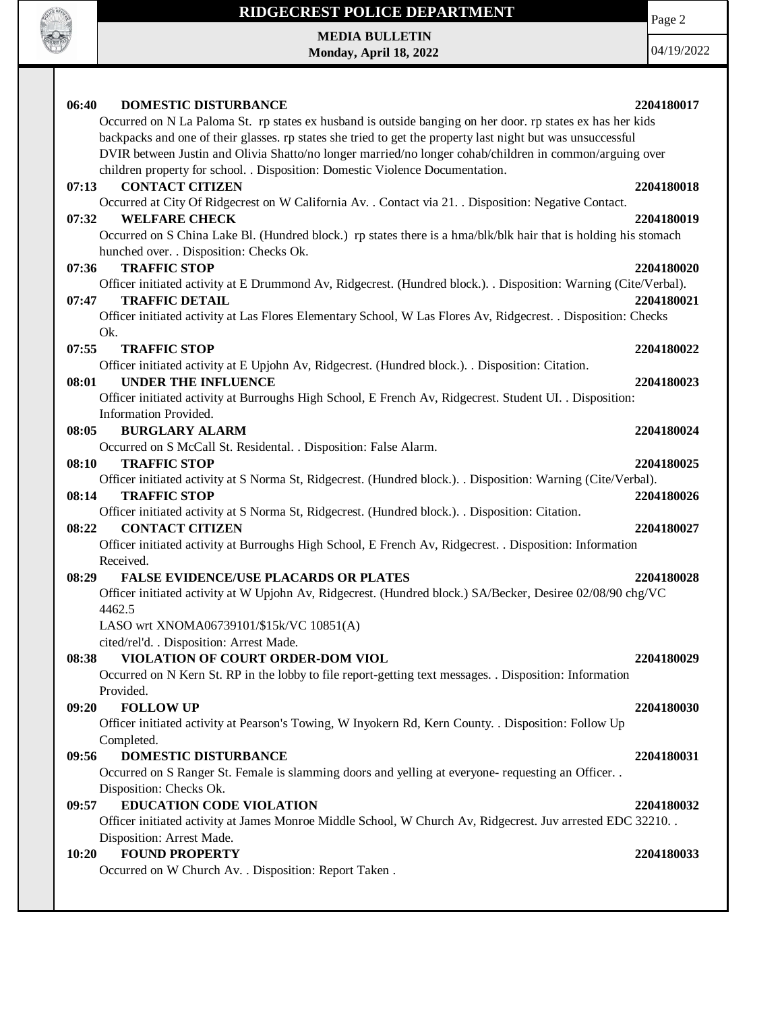

Page 2

**MEDIA BULLETIN Monday, April 18, 2022**

| <b>DOMESTIC DISTURBANCE</b><br>06:40                                                                                                        | 2204180017 |
|---------------------------------------------------------------------------------------------------------------------------------------------|------------|
| Occurred on N La Paloma St. rp states ex husband is outside banging on her door. rp states ex has her kids                                  |            |
| backpacks and one of their glasses. rp states she tried to get the property last night but was unsuccessful                                 |            |
| DVIR between Justin and Olivia Shatto/no longer married/no longer cohab/children in common/arguing over                                     |            |
| children property for school. . Disposition: Domestic Violence Documentation.                                                               |            |
| <b>CONTACT CITIZEN</b><br>07:13                                                                                                             | 2204180018 |
| Occurred at City Of Ridgecrest on W California Av. . Contact via 21. . Disposition: Negative Contact.                                       |            |
| 07:32<br><b>WELFARE CHECK</b>                                                                                                               | 2204180019 |
| Occurred on S China Lake Bl. (Hundred block.) rp states there is a hma/blk/blk hair that is holding his stomach                             |            |
| hunched over. . Disposition: Checks Ok.                                                                                                     |            |
| <b>TRAFFIC STOP</b><br>07:36                                                                                                                | 2204180020 |
| Officer initiated activity at E Drummond Av, Ridgecrest. (Hundred block.). . Disposition: Warning (Cite/Verbal).                            |            |
| 07:47<br><b>TRAFFIC DETAIL</b>                                                                                                              | 2204180021 |
| Officer initiated activity at Las Flores Elementary School, W Las Flores Av, Ridgecrest. . Disposition: Checks                              |            |
| Ok.                                                                                                                                         |            |
| 07:55<br><b>TRAFFIC STOP</b>                                                                                                                | 2204180022 |
| Officer initiated activity at E Upjohn Av, Ridgecrest. (Hundred block.). . Disposition: Citation.                                           |            |
| <b>UNDER THE INFLUENCE</b><br>08:01                                                                                                         | 2204180023 |
| Officer initiated activity at Burroughs High School, E French Av, Ridgecrest. Student UI. . Disposition:                                    |            |
| Information Provided.                                                                                                                       |            |
| 08:05<br><b>BURGLARY ALARM</b>                                                                                                              | 2204180024 |
| Occurred on S McCall St. Residental. . Disposition: False Alarm.                                                                            |            |
| 08:10<br><b>TRAFFIC STOP</b>                                                                                                                | 2204180025 |
| Officer initiated activity at S Norma St, Ridgecrest. (Hundred block.). Disposition: Warning (Cite/Verbal).<br>08:14<br><b>TRAFFIC STOP</b> | 2204180026 |
| Officer initiated activity at S Norma St, Ridgecrest. (Hundred block.). . Disposition: Citation.                                            |            |
| <b>CONTACT CITIZEN</b><br>08:22                                                                                                             | 2204180027 |
| Officer initiated activity at Burroughs High School, E French Av, Ridgecrest. . Disposition: Information                                    |            |
| Received.                                                                                                                                   |            |
| 08:29<br><b>FALSE EVIDENCE/USE PLACARDS OR PLATES</b>                                                                                       | 2204180028 |
| Officer initiated activity at W Upjohn Av, Ridgecrest. (Hundred block.) SA/Becker, Desiree 02/08/90 chg/VC                                  |            |
| 4462.5                                                                                                                                      |            |
| LASO wrt XNOMA06739101/\$15k/VC 10851(A)                                                                                                    |            |
| cited/rel'd. . Disposition: Arrest Made.                                                                                                    |            |
| VIOLATION OF COURT ORDER-DOM VIOL<br>08:38                                                                                                  | 2204180029 |
| Occurred on N Kern St. RP in the lobby to file report-getting text messages. Disposition: Information                                       |            |
| Provided.                                                                                                                                   |            |
| <b>FOLLOW UP</b><br>09:20                                                                                                                   | 2204180030 |
| Officer initiated activity at Pearson's Towing, W Inyokern Rd, Kern County. . Disposition: Follow Up                                        |            |
| Completed.                                                                                                                                  |            |
| 09:56<br>DOMESTIC DISTURBANCE                                                                                                               | 2204180031 |
| Occurred on S Ranger St. Female is slamming doors and yelling at everyone- requesting an Officer. .                                         |            |
| Disposition: Checks Ok.                                                                                                                     |            |
| <b>EDUCATION CODE VIOLATION</b><br>09:57                                                                                                    | 2204180032 |
| Officer initiated activity at James Monroe Middle School, W Church Av, Ridgecrest. Juv arrested EDC 32210. .                                |            |
| Disposition: Arrest Made.                                                                                                                   |            |
| <b>FOUND PROPERTY</b><br>10:20                                                                                                              | 2204180033 |
| Occurred on W Church Av. . Disposition: Report Taken.                                                                                       |            |
|                                                                                                                                             |            |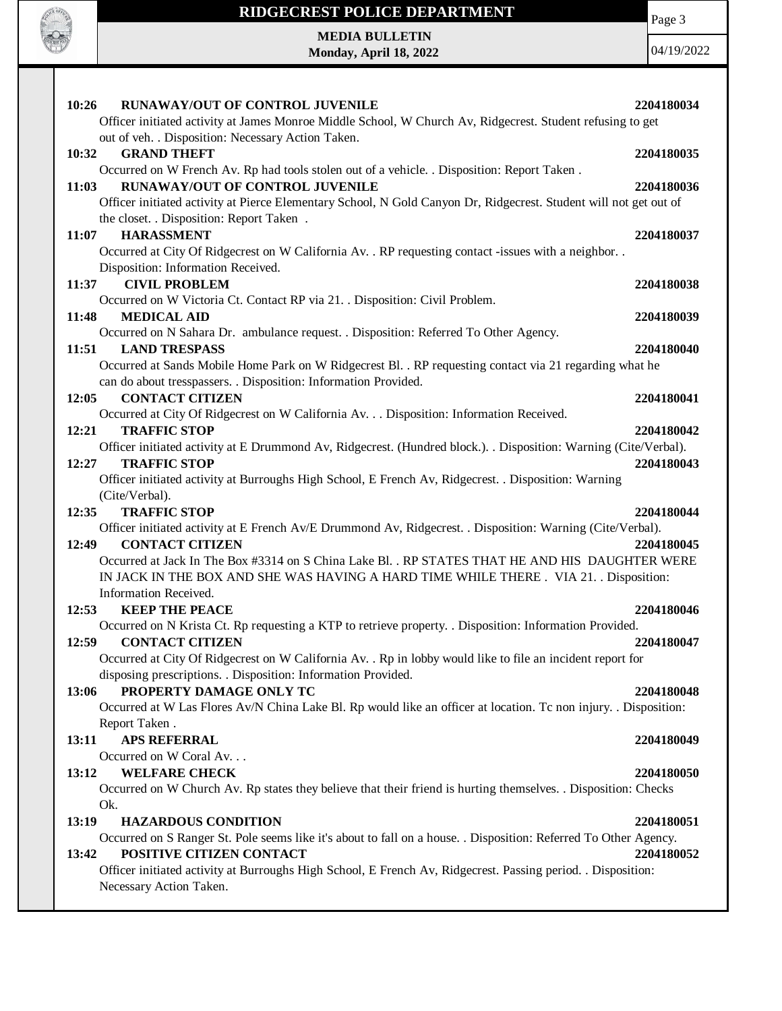

Page 3

**MEDIA BULLETIN Monday, April 18, 2022**

| 10:26<br><b>RUNAWAY/OUT OF CONTROL JUVENILE</b>                                                                     | 2204180034 |
|---------------------------------------------------------------------------------------------------------------------|------------|
| Officer initiated activity at James Monroe Middle School, W Church Av, Ridgecrest. Student refusing to get          |            |
| out of veh. . Disposition: Necessary Action Taken.                                                                  |            |
| <b>GRAND THEFT</b><br>10:32                                                                                         | 2204180035 |
| Occurred on W French Av. Rp had tools stolen out of a vehicle. . Disposition: Report Taken.                         |            |
| RUNAWAY/OUT OF CONTROL JUVENILE<br>11:03                                                                            | 2204180036 |
| Officer initiated activity at Pierce Elementary School, N Gold Canyon Dr, Ridgecrest. Student will not get out of   |            |
| the closet. . Disposition: Report Taken.                                                                            |            |
| <b>HARASSMENT</b><br>11:07                                                                                          | 2204180037 |
| Occurred at City Of Ridgecrest on W California Av. . RP requesting contact -issues with a neighbor. .               |            |
| Disposition: Information Received.                                                                                  |            |
| <b>CIVIL PROBLEM</b><br>11:37                                                                                       | 2204180038 |
| Occurred on W Victoria Ct. Contact RP via 21. . Disposition: Civil Problem.                                         |            |
| 11:48<br><b>MEDICAL AID</b><br>Occurred on N Sahara Dr. ambulance request. . Disposition: Referred To Other Agency. | 2204180039 |
| 11:51<br><b>LAND TRESPASS</b>                                                                                       | 2204180040 |
| Occurred at Sands Mobile Home Park on W Ridgecrest Bl. . RP requesting contact via 21 regarding what he             |            |
| can do about tresspassers. . Disposition: Information Provided.                                                     |            |
| <b>CONTACT CITIZEN</b><br>12:05                                                                                     | 2204180041 |
| Occurred at City Of Ridgecrest on W California Av. Disposition: Information Received.                               |            |
| 12:21<br><b>TRAFFIC STOP</b>                                                                                        | 2204180042 |
| Officer initiated activity at E Drummond Av, Ridgecrest. (Hundred block.). . Disposition: Warning (Cite/Verbal).    |            |
| 12:27<br><b>TRAFFIC STOP</b>                                                                                        | 2204180043 |
| Officer initiated activity at Burroughs High School, E French Av, Ridgecrest. . Disposition: Warning                |            |
| (Cite/Verbal).                                                                                                      |            |
| <b>TRAFFIC STOP</b><br>12:35                                                                                        | 2204180044 |
| Officer initiated activity at E French Av/E Drummond Av, Ridgecrest. . Disposition: Warning (Cite/Verbal).          |            |
| <b>CONTACT CITIZEN</b><br>12:49                                                                                     | 2204180045 |
| Occurred at Jack In The Box #3314 on S China Lake Bl. . RP STATES THAT HE AND HIS DAUGHTER WERE                     |            |
| IN JACK IN THE BOX AND SHE WAS HAVING A HARD TIME WHILE THERE . VIA 21. Disposition:                                |            |
| Information Received.                                                                                               |            |
| <b>KEEP THE PEACE</b><br>12:53                                                                                      | 2204180046 |
| Occurred on N Krista Ct. Rp requesting a KTP to retrieve property. . Disposition: Information Provided.             |            |
| <b>CONTACT CITIZEN</b><br>12:59                                                                                     | 2204180047 |
| Occurred at City Of Ridgecrest on W California Av. . Rp in lobby would like to file an incident report for          |            |
| disposing prescriptions. . Disposition: Information Provided.<br>PROPERTY DAMAGE ONLY TC<br>13:06                   | 2204180048 |
| Occurred at W Las Flores Av/N China Lake Bl. Rp would like an officer at location. Tc non injury. . Disposition:    |            |
| Report Taken.                                                                                                       |            |
| <b>APS REFERRAL</b><br>13:11                                                                                        | 2204180049 |
| Occurred on W Coral Av                                                                                              |            |
| <b>WELFARE CHECK</b><br>13:12                                                                                       | 2204180050 |
| Occurred on W Church Av. Rp states they believe that their friend is hurting themselves. . Disposition: Checks      |            |
| Ok.                                                                                                                 |            |
| <b>HAZARDOUS CONDITION</b><br>13:19                                                                                 | 2204180051 |
| Occurred on S Ranger St. Pole seems like it's about to fall on a house. . Disposition: Referred To Other Agency.    |            |
| 13:42<br>POSITIVE CITIZEN CONTACT                                                                                   | 2204180052 |
| Officer initiated activity at Burroughs High School, E French Av, Ridgecrest. Passing period. . Disposition:        |            |
| Necessary Action Taken.                                                                                             |            |
|                                                                                                                     |            |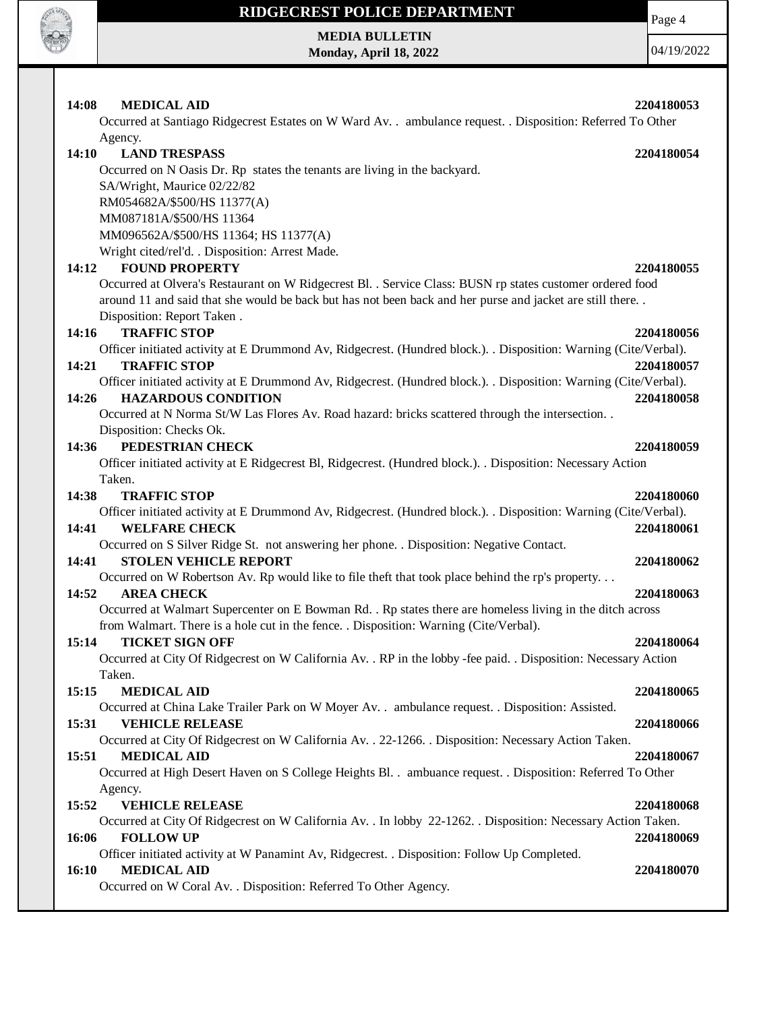

**MEDIA BULLETIN Monday, April 18, 2022** Page 4 04/19/2022

| 14:08<br><b>MEDICAL AID</b><br>2204180053                                                                                |  |
|--------------------------------------------------------------------------------------------------------------------------|--|
| Occurred at Santiago Ridgecrest Estates on W Ward Av. . ambulance request. . Disposition: Referred To Other              |  |
| Agency.                                                                                                                  |  |
| 14:10<br><b>LAND TRESPASS</b><br>2204180054<br>Occurred on N Oasis Dr. Rp states the tenants are living in the backyard. |  |
|                                                                                                                          |  |
| SA/Wright, Maurice 02/22/82                                                                                              |  |
| RM054682A/\$500/HS 11377(A)                                                                                              |  |
| MM087181A/\$500/HS 11364                                                                                                 |  |
| MM096562A/\$500/HS 11364; HS 11377(A)                                                                                    |  |
| Wright cited/rel'd. . Disposition: Arrest Made.                                                                          |  |
| <b>FOUND PROPERTY</b><br>14:12<br>2204180055                                                                             |  |
| Occurred at Olvera's Restaurant on W Ridgecrest Bl. . Service Class: BUSN rp states customer ordered food                |  |
| around 11 and said that she would be back but has not been back and her purse and jacket are still there.                |  |
| Disposition: Report Taken.                                                                                               |  |
| <b>TRAFFIC STOP</b><br>14:16<br>2204180056                                                                               |  |
| Officer initiated activity at E Drummond Av, Ridgecrest. (Hundred block.). . Disposition: Warning (Cite/Verbal).         |  |
| 14:21<br><b>TRAFFIC STOP</b><br>2204180057                                                                               |  |
| Officer initiated activity at E Drummond Av, Ridgecrest. (Hundred block.). . Disposition: Warning (Cite/Verbal).         |  |
| <b>HAZARDOUS CONDITION</b><br>14:26<br>2204180058                                                                        |  |
| Occurred at N Norma St/W Las Flores Av. Road hazard: bricks scattered through the intersection. .                        |  |
| Disposition: Checks Ok.                                                                                                  |  |
| PEDESTRIAN CHECK<br>14:36<br>2204180059                                                                                  |  |
| Officer initiated activity at E Ridgecrest Bl, Ridgecrest. (Hundred block.). . Disposition: Necessary Action             |  |
| Taken.                                                                                                                   |  |
| 14:38<br><b>TRAFFIC STOP</b><br>2204180060                                                                               |  |
| Officer initiated activity at E Drummond Av, Ridgecrest. (Hundred block.). . Disposition: Warning (Cite/Verbal).         |  |
| <b>WELFARE CHECK</b><br>14:41<br>2204180061                                                                              |  |
| Occurred on S Silver Ridge St. not answering her phone. . Disposition: Negative Contact.                                 |  |
| <b>STOLEN VEHICLE REPORT</b><br>14:41<br>2204180062                                                                      |  |
| Occurred on W Robertson Av. Rp would like to file theft that took place behind the rp's property                         |  |
| 14:52<br><b>AREA CHECK</b><br>2204180063                                                                                 |  |
| Occurred at Walmart Supercenter on E Bowman Rd. . Rp states there are homeless living in the ditch across                |  |
| from Walmart. There is a hole cut in the fence. . Disposition: Warning (Cite/Verbal).                                    |  |
| 15:14<br><b>TICKET SIGN OFF</b><br>2204180064                                                                            |  |
| Occurred at City Of Ridgecrest on W California Av. . RP in the lobby -fee paid. . Disposition: Necessary Action          |  |
| Taken.                                                                                                                   |  |
| 15:15<br><b>MEDICAL AID</b><br>2204180065                                                                                |  |
| Occurred at China Lake Trailer Park on W Moyer Av. . ambulance request. . Disposition: Assisted.                         |  |
| <b>VEHICLE RELEASE</b><br>15:31<br>2204180066                                                                            |  |
| Occurred at City Of Ridgecrest on W California Av. . 22-1266. . Disposition: Necessary Action Taken.                     |  |
| 15:51<br><b>MEDICAL AID</b><br>2204180067                                                                                |  |
| Occurred at High Desert Haven on S College Heights Bl. . ambuance request. . Disposition: Referred To Other              |  |
| Agency.                                                                                                                  |  |
| 15:52<br><b>VEHICLE RELEASE</b><br>2204180068                                                                            |  |
| Occurred at City Of Ridgecrest on W California Av. . In lobby 22-1262. . Disposition: Necessary Action Taken.            |  |
| 16:06<br><b>FOLLOW UP</b><br>2204180069                                                                                  |  |
| Officer initiated activity at W Panamint Av, Ridgecrest. . Disposition: Follow Up Completed.                             |  |
| 16:10<br><b>MEDICAL AID</b><br>2204180070                                                                                |  |
| Occurred on W Coral Av. . Disposition: Referred To Other Agency.                                                         |  |
|                                                                                                                          |  |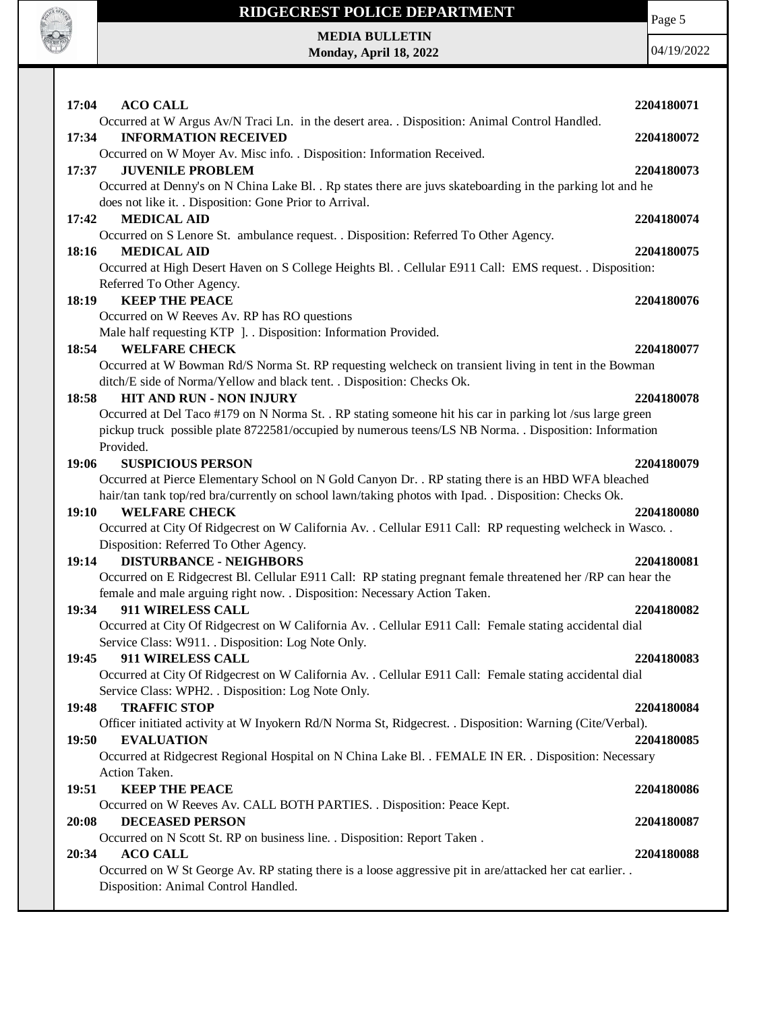

Page 5

#### **MEDIA BULLETIN Monday, April 18, 2022**

| <b>ACO CALL</b><br>17:04                                                                                                                                                                                                                                       | 2204180071               |
|----------------------------------------------------------------------------------------------------------------------------------------------------------------------------------------------------------------------------------------------------------------|--------------------------|
| Occurred at W Argus Av/N Traci Ln. in the desert area. . Disposition: Animal Control Handled.<br><b>INFORMATION RECEIVED</b><br>17:34                                                                                                                          | 2204180072               |
| Occurred on W Moyer Av. Misc info. . Disposition: Information Received.<br><b>JUVENILE PROBLEM</b><br>17:37<br>Occurred at Denny's on N China Lake Bl. . Rp states there are juvs skateboarding in the parking lot and he                                      | 2204180073               |
| does not like it. . Disposition: Gone Prior to Arrival.<br><b>MEDICAL AID</b><br>17:42<br>Occurred on S Lenore St. ambulance request. . Disposition: Referred To Other Agency.                                                                                 | 2204180074               |
| 18:16<br><b>MEDICAL AID</b><br>Occurred at High Desert Haven on S College Heights Bl. . Cellular E911 Call: EMS request. . Disposition:                                                                                                                        | 2204180075               |
| Referred To Other Agency.<br><b>KEEP THE PEACE</b><br>18:19                                                                                                                                                                                                    | 2204180076               |
| Occurred on W Reeves Av. RP has RO questions<br>Male half requesting KTP ]. . Disposition: Information Provided.                                                                                                                                               |                          |
| 18:54<br><b>WELFARE CHECK</b><br>Occurred at W Bowman Rd/S Norma St. RP requesting welcheck on transient living in tent in the Bowman<br>ditch/E side of Norma/Yellow and black tent. . Disposition: Checks Ok.                                                | 2204180077               |
| HIT AND RUN - NON INJURY<br>18:58<br>Occurred at Del Taco #179 on N Norma St. . RP stating someone hit his car in parking lot /sus large green<br>pickup truck possible plate 8722581/occupied by numerous teens/LS NB Norma. . Disposition: Information       | 2204180078               |
| Provided.<br><b>SUSPICIOUS PERSON</b><br>19:06<br>Occurred at Pierce Elementary School on N Gold Canyon Dr. . RP stating there is an HBD WFA bleached<br>hair/tan tank top/red bra/currently on school lawn/taking photos with Ipad. . Disposition: Checks Ok. | 2204180079               |
| 19:10<br><b>WELFARE CHECK</b><br>Occurred at City Of Ridgecrest on W California Av. . Cellular E911 Call: RP requesting welcheck in Wasco. .<br>Disposition: Referred To Other Agency.                                                                         | 2204180080               |
| <b>DISTURBANCE - NEIGHBORS</b><br>19:14<br>Occurred on E Ridgecrest Bl. Cellular E911 Call: RP stating pregnant female threatened her /RP can hear the                                                                                                         | 2204180081               |
| female and male arguing right now. . Disposition: Necessary Action Taken.<br>19:34<br>911 WIRELESS CALL<br>Occurred at City Of Ridgecrest on W California Av. . Cellular E911 Call: Female stating accidental dial                                             | 2204180082               |
| Service Class: W911. . Disposition: Log Note Only.<br>911 WIRELESS CALL<br>19:45<br>Occurred at City Of Ridgecrest on W California Av. . Cellular E911 Call: Female stating accidental dial                                                                    | 2204180083               |
| Service Class: WPH2. . Disposition: Log Note Only.<br>19:48<br><b>TRAFFIC STOP</b><br>Officer initiated activity at W Inyokern Rd/N Norma St, Ridgecrest. . Disposition: Warning (Cite/Verbal).                                                                | 2204180084               |
| 19:50<br><b>EVALUATION</b><br>Occurred at Ridgecrest Regional Hospital on N China Lake Bl. . FEMALE IN ER. . Disposition: Necessary<br>Action Taken.                                                                                                           | 2204180085               |
| <b>KEEP THE PEACE</b><br>19:51<br>Occurred on W Reeves Av. CALL BOTH PARTIES. . Disposition: Peace Kept.                                                                                                                                                       | 2204180086               |
| <b>DECEASED PERSON</b><br>20:08<br>Occurred on N Scott St. RP on business line. . Disposition: Report Taken.<br><b>ACO CALL</b><br>20:34                                                                                                                       | 2204180087<br>2204180088 |
| Occurred on W St George Av. RP stating there is a loose aggressive pit in are/attacked her cat earlier<br>Disposition: Animal Control Handled.                                                                                                                 |                          |